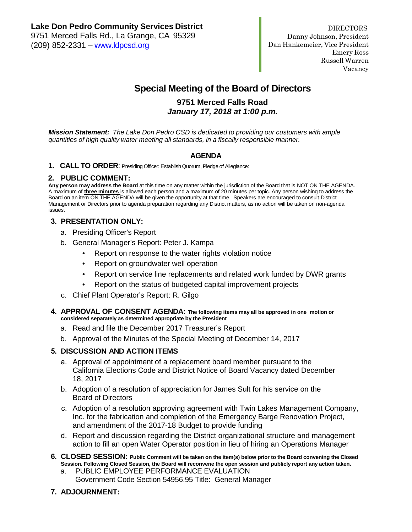# **Special Meeting of the Board of Directors**

## **9751 Merced Falls Road** *January 17, 2018 at 1:00 p.m.*

*Mission Statement: The Lake Don Pedro CSD is dedicated to providing our customers with ample quantities of high quality water meeting all standards, in a fiscally responsible manner.*

### **AGENDA**

**1. CALL TO ORDER**: Presiding Officer: Establish Quorum, Pledge of Allegiance:

### **2. PUBLIC COMMENT:**

**Any person may address the Board** at this time on any matter within the jurisdiction of the Board that is NOT ON THE AGENDA. A maximum of **three minutes** is allowed each person and a maximum of 20 minutes per topic. Any person wishing to address the Board on an item ON THE AGENDA will be given the opportunity at that time. Speakers are encouraged to consult District Management or Directors prior to agenda preparation regarding any District matters, as no action will be taken on non-agenda issues.

### **3. PRESENTATION ONLY:**

- a. Presiding Officer's Report
- b. General Manager's Report: Peter J. Kampa
	- Report on response to the water rights violation notice
	- Report on groundwater well operation
	- Report on service line replacements and related work funded by DWR grants
	- Report on the status of budgeted capital improvement projects
- c. Chief Plant Operator's Report: R. Gilgo
- **4. APPROVAL OF CONSENT AGENDA: The following items may all be approved in one motion or considered separately as determined appropriate by the President**
	- a. Read and file the December 2017 Treasurer's Report
	- b. Approval of the Minutes of the Special Meeting of December 14, 2017

#### **5. DISCUSSION AND ACTION ITEMS**

- a. Approval of appointment of a replacement board member pursuant to the California Elections Code and District Notice of Board Vacancy dated December 18, 2017
- b. Adoption of a resolution of appreciation for James Sult for his service on the Board of Directors
- c. Adoption of a resolution approving agreement with Twin Lakes Management Company, Inc. for the fabrication and completion of the Emergency Barge Renovation Project, and amendment of the 2017-18 Budget to provide funding
- d. Report and discussion regarding the District organizational structure and management action to fill an open Water Operator position in lieu of hiring an Operations Manager
- **6. CLOSED SESSION: Public Comment will be taken on the item(s) below prior to the Board convening the Closed Session. Following Closed Session, the Board will reconvene the open session and publicly report any action taken.**
	- a. PUBLIC EMPLOYEE PERFORMANCE EVALUATION Government Code Section 54956.95 Title: General Manager
- **7. ADJOURNMENT:**